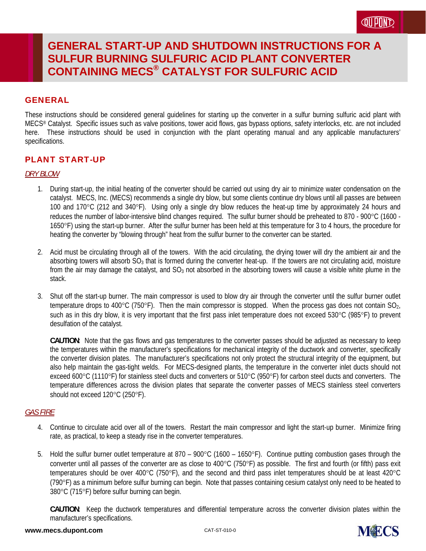### **GENERAL**

These instructions should be considered general guidelines for starting up the converter in a sulfur burning sulfuric acid plant with MECS® Catalyst. Specific issues such as valve positions, tower acid flows, gas bypass options, safety interlocks, etc. are not included here. These instructions should be used in conjunction with the plant operating manual and any applicable manufacturers' specifications.

## PLANT START-UP

### *DRY BLOW*

- 1. During start-up, the initial heating of the converter should be carried out using dry air to minimize water condensation on the catalyst. MECS, Inc. (MECS) recommends a single dry blow, but some clients continue dry blows until all passes are between 100 and 170 $^{\circ}$ C (212 and 340 $^{\circ}$ F). Using only a single dry blow reduces the heat-up time by approximately 24 hours and reduces the number of labor-intensive blind changes required. The sulfur burner should be preheated to 870 - 900°C (1600 -1650F) using the start-up burner. After the sulfur burner has been held at this temperature for 3 to 4 hours, the procedure for heating the converter by "blowing through" heat from the sulfur burner to the converter can be started.
- 2. Acid must be circulating through all of the towers. With the acid circulating, the drying tower will dry the ambient air and the absorbing towers will absorb  $SO_3$  that is formed during the converter heat-up. If the towers are not circulating acid, moisture from the air may damage the catalyst, and  $SO_3$  not absorbed in the absorbing towers will cause a visible white plume in the stack.
- 3. Shut off the start-up burner. The main compressor is used to blow dry air through the converter until the sulfur burner outlet temperature drops to 400 $^{\circ}$ C (750 $^{\circ}$ F). Then the main compressor is stopped. When the process gas does not contain SO<sub>2</sub>, such as in this dry blow, it is very important that the first pass inlet temperature does not exceed 530°C (985°F) to prevent desulfation of the catalyst.

**CAUTION**: Note that the gas flows and gas temperatures to the converter passes should be adjusted as necessary to keep the temperatures within the manufacturer's specifications for mechanical integrity of the ductwork and converter, specifically the converter division plates. The manufacturer's specifications not only protect the structural integrity of the equipment, but also help maintain the gas-tight welds. For MECS-designed plants, the temperature in the converter inlet ducts should not exceed 600 $^{\circ}$ C (1110 $^{\circ}$ F) for stainless steel ducts and converters or 510 $^{\circ}$ C (950 $^{\circ}$ F) for carbon steel ducts and converters. The temperature differences across the division plates that separate the converter passes of MECS stainless steel converters should not exceed 120°C (250°F).

### *GAS FIRE*

- 4. Continue to circulate acid over all of the towers. Restart the main compressor and light the start-up burner. Minimize firing rate, as practical, to keep a steady rise in the converter temperatures.
- 5. Hold the sulfur burner outlet temperature at 870 900 $\degree$ C (1600 1650 $\degree$ F). Continue putting combustion gases through the converter until all passes of the converter are as close to 400 $\degree$ C (750 $\degree$ F) as possible. The first and fourth (or fifth) pass exit temperatures should be over 400 $^{\circ}$ C (750 $^{\circ}$ F), and the second and third pass inlet temperatures should be at least 420 $^{\circ}$ C (790F) as a minimum before sulfur burning can begin. Note that passes containing cesium catalyst only need to be heated to 380°C (715°F) before sulfur burning can begin.

**CAUTION**: Keep the ductwork temperatures and differential temperature across the converter division plates within the manufacturer's specifications.

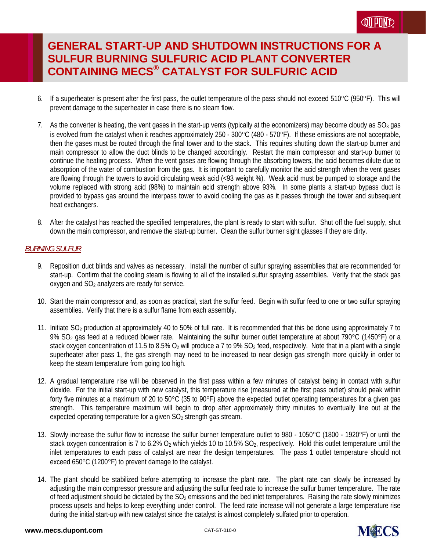- 6. If a superheater is present after the first pass, the outlet temperature of the pass should not exceed 510°C (950°F). This will prevent damage to the superheater in case there is no steam flow.
- 7. As the converter is heating, the vent gases in the start-up vents (typically at the economizers) may become cloudy as  $SO_3$  gas is evolved from the catalyst when it reaches approximately 250 - 300°C (480 - 570°F). If these emissions are not acceptable, then the gases must be routed through the final tower and to the stack. This requires shutting down the start-up burner and main compressor to allow the duct blinds to be changed accordingly. Restart the main compressor and start-up burner to continue the heating process. When the vent gases are flowing through the absorbing towers, the acid becomes dilute due to absorption of the water of combustion from the gas. It is important to carefully monitor the acid strength when the vent gases are flowing through the towers to avoid circulating weak acid (<93 weight %). Weak acid must be pumped to storage and the volume replaced with strong acid (98%) to maintain acid strength above 93%. In some plants a start-up bypass duct is provided to bypass gas around the interpass tower to avoid cooling the gas as it passes through the tower and subsequent heat exchangers.
- 8. After the catalyst has reached the specified temperatures, the plant is ready to start with sulfur. Shut off the fuel supply, shut down the main compressor, and remove the start-up burner. Clean the sulfur burner sight glasses if they are dirty.

### *BURNING SULFUR*

- 9. Reposition duct blinds and valves as necessary. Install the number of sulfur spraying assemblies that are recommended for start-up. Confirm that the cooling steam is flowing to all of the installed sulfur spraying assemblies. Verify that the stack gas  $o$ xygen and  $SO<sub>2</sub>$  analyzers are ready for service.
- 10. Start the main compressor and, as soon as practical, start the sulfur feed. Begin with sulfur feed to one or two sulfur spraying assemblies. Verify that there is a sulfur flame from each assembly.
- 11. Initiate SO2 production at approximately 40 to 50% of full rate. It is recommended that this be done using approximately 7 to 9% SO<sub>2</sub> gas feed at a reduced blower rate. Maintaining the sulfur burner outlet temperature at about 790°C (1450°F) or a stack oxygen concentration of 11.5 to 8.5% O<sub>2</sub> will produce a 7 to 9% SO<sub>2</sub> feed, respectively. Note that in a plant with a single superheater after pass 1, the gas strength may need to be increased to near design gas strength more quickly in order to keep the steam temperature from going too high.
- 12. A gradual temperature rise will be observed in the first pass within a few minutes of catalyst being in contact with sulfur dioxide. For the initial start-up with new catalyst, this temperature rise (measured at the first pass outlet) should peak within forty five minutes at a maximum of 20 to  $50^{\circ}$ C (35 to  $90^{\circ}$ F) above the expected outlet operating temperatures for a given gas strength. This temperature maximum will begin to drop after approximately thirty minutes to eventually line out at the expected operating temperature for a given  $SO<sub>2</sub>$  strength gas stream.
- 13. Slowly increase the sulfur flow to increase the sulfur burner temperature outlet to 980 1050°C (1800 1920°F) or until the stack oxygen concentration is 7 to 6.2%  $O_2$  which yields 10 to 10.5%  $SO_2$ , respectively. Hold this outlet temperature until the inlet temperatures to each pass of catalyst are near the design temperatures. The pass 1 outlet temperature should not exceed 650 $\degree$ C (1200 $\degree$ F) to prevent damage to the catalyst.
- 14. The plant should be stabilized before attempting to increase the plant rate. The plant rate can slowly be increased by adjusting the main compressor pressure and adjusting the sulfur feed rate to increase the sulfur burner temperature. The rate of feed adjustment should be dictated by the  $SO<sub>2</sub>$  emissions and the bed inlet temperatures. Raising the rate slowly minimizes process upsets and helps to keep everything under control. The feed rate increase will not generate a large temperature rise during the initial start-up with new catalyst since the catalyst is almost completely sulfated prior to operation.

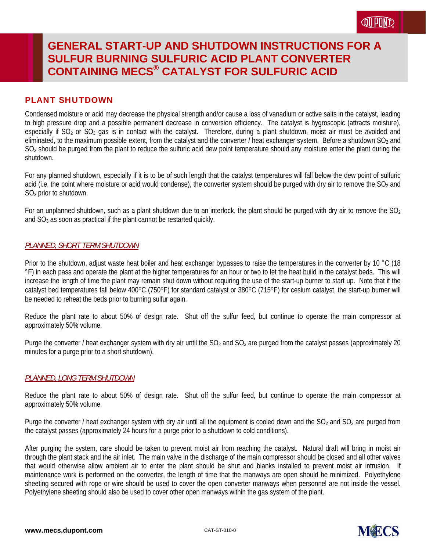## PLANT SHUTDOWN

Condensed moisture or acid may decrease the physical strength and/or cause a loss of vanadium or active salts in the catalyst, leading to high pressure drop and a possible permanent decrease in conversion efficiency. The catalyst is hygroscopic (attracts moisture), especially if  $SO_2$  or  $SO_3$  gas is in contact with the catalyst. Therefore, during a plant shutdown, moist air must be avoided and eliminated, to the maximum possible extent, from the catalyst and the converter / heat exchanger system. Before a shutdown  $SO<sub>2</sub>$  and  $SO<sub>3</sub>$  should be purged from the plant to reduce the sulfuric acid dew point temperature should any moisture enter the plant during the shutdown.

For any planned shutdown, especially if it is to be of such length that the catalyst temperatures will fall below the dew point of sulfuric acid (i.e. the point where moisture or acid would condense), the converter system should be purged with dry air to remove the  $SO<sub>2</sub>$  and SO3 prior to shutdown.

For an unplanned shutdown, such as a plant shutdown due to an interlock, the plant should be purged with dry air to remove the  $SO_2$ and SO<sub>3</sub> as soon as practical if the plant cannot be restarted quickly.

### *PLANNED, SHORT TERM SHUTDOWN*

Prior to the shutdown, adjust waste heat boiler and heat exchanger bypasses to raise the temperatures in the converter by 10 °C (18 °F) in each pass and operate the plant at the higher temperatures for an hour or two to let the heat build in the catalyst beds. This will increase the length of time the plant may remain shut down without requiring the use of the start-up burner to start up. Note that if the catalyst bed temperatures fall below  $400^{\circ}$ C (750°F) for standard catalyst or 380°C (715°F) for cesium catalyst, the start-up burner will be needed to reheat the beds prior to burning sulfur again.

Reduce the plant rate to about 50% of design rate. Shut off the sulfur feed, but continue to operate the main compressor at approximately 50% volume.

Purge the converter / heat exchanger system with dry air until the  $SO<sub>2</sub>$  and  $SO<sub>3</sub>$  are purged from the catalyst passes (approximately 20 minutes for a purge prior to a short shutdown).

### *PLANNED, LONG TERM SHUTDOWN*

Reduce the plant rate to about 50% of design rate. Shut off the sulfur feed, but continue to operate the main compressor at approximately 50% volume.

Purge the converter / heat exchanger system with dry air until all the equipment is cooled down and the  $SO_2$  and  $SO_3$  are purged from the catalyst passes (approximately 24 hours for a purge prior to a shutdown to cold conditions).

After purging the system, care should be taken to prevent moist air from reaching the catalyst. Natural draft will bring in moist air through the plant stack and the air inlet. The main valve in the discharge of the main compressor should be closed and all other valves that would otherwise allow ambient air to enter the plant should be shut and blanks installed to prevent moist air intrusion. If maintenance work is performed on the converter, the length of time that the manways are open should be minimized. Polyethylene sheeting secured with rope or wire should be used to cover the open converter manways when personnel are not inside the vessel. Polyethylene sheeting should also be used to cover other open manways within the gas system of the plant.